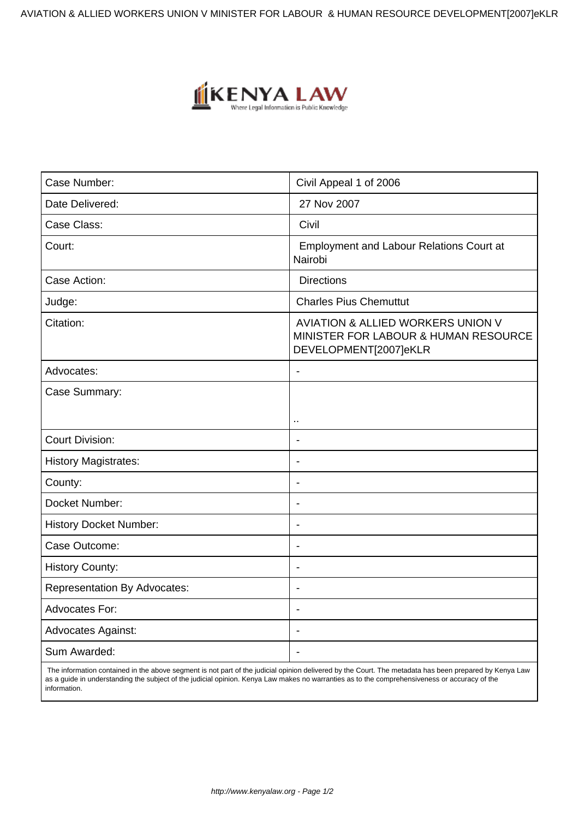AVIATION & ALLIED WORKERS UNION V MINISTER FOR LABOUR & HUMAN RESOURCE DEVELOPMENT[2007]eKLR



| Case Number:                        | Civil Appeal 1 of 2006                                                                             |
|-------------------------------------|----------------------------------------------------------------------------------------------------|
| Date Delivered:                     | 27 Nov 2007                                                                                        |
| Case Class:                         | Civil                                                                                              |
| Court:                              | <b>Employment and Labour Relations Court at</b><br>Nairobi                                         |
| Case Action:                        | <b>Directions</b>                                                                                  |
| Judge:                              | <b>Charles Pius Chemuttut</b>                                                                      |
| Citation:                           | AVIATION & ALLIED WORKERS UNION V<br>MINISTER FOR LABOUR & HUMAN RESOURCE<br>DEVELOPMENT[2007]eKLR |
| Advocates:                          | $\blacksquare$                                                                                     |
| Case Summary:                       |                                                                                                    |
|                                     | $\ddot{\phantom{a}}$                                                                               |
| <b>Court Division:</b>              |                                                                                                    |
| <b>History Magistrates:</b>         | $\blacksquare$                                                                                     |
| County:                             | $\blacksquare$                                                                                     |
| Docket Number:                      | $\overline{\phantom{0}}$                                                                           |
| <b>History Docket Number:</b>       | $\blacksquare$                                                                                     |
| Case Outcome:                       | $\overline{\phantom{0}}$                                                                           |
| <b>History County:</b>              |                                                                                                    |
| <b>Representation By Advocates:</b> |                                                                                                    |
| <b>Advocates For:</b>               | $\blacksquare$                                                                                     |
| <b>Advocates Against:</b>           | $\blacksquare$                                                                                     |
| Sum Awarded:                        | $\overline{\phantom{a}}$                                                                           |

 The information contained in the above segment is not part of the judicial opinion delivered by the Court. The metadata has been prepared by Kenya Law as a guide in understanding the subject of the judicial opinion. Kenya Law makes no warranties as to the comprehensiveness or accuracy of the information.